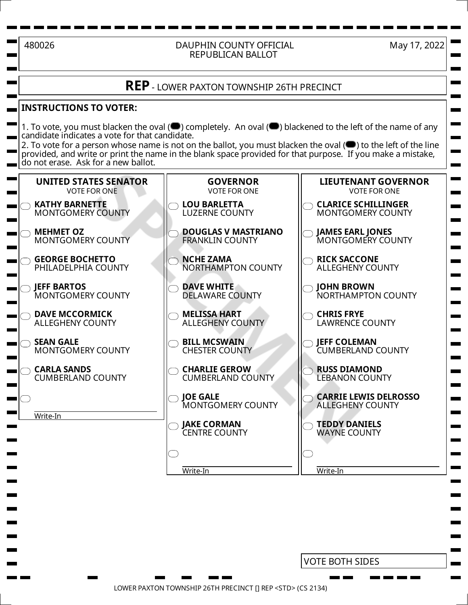## 480026 DAUPHIN COUNTY OFFICIAL REPUBLICAN BALLOT

May 17, 2022

## **REP**- LOWER PAXTON TOWNSHIP 26TH PRECINCT

## **INSTRUCTIONS TO VOTER:**

1. To vote, you must blacken the oval (<sup>1</sup>) completely. An oval (<sup>2</sup>) blackened to the left of the name of any candidate indicates a vote for that candidate.

2. To vote for a person whose name is not on the ballot, you must blacken the oval  $($ **)** to the left of the line provided, and write or print the name in the blank space provided for that purpose. If you make a mistake, do not erase. Ask for a new ballot.



VOTE BOTH SIDES